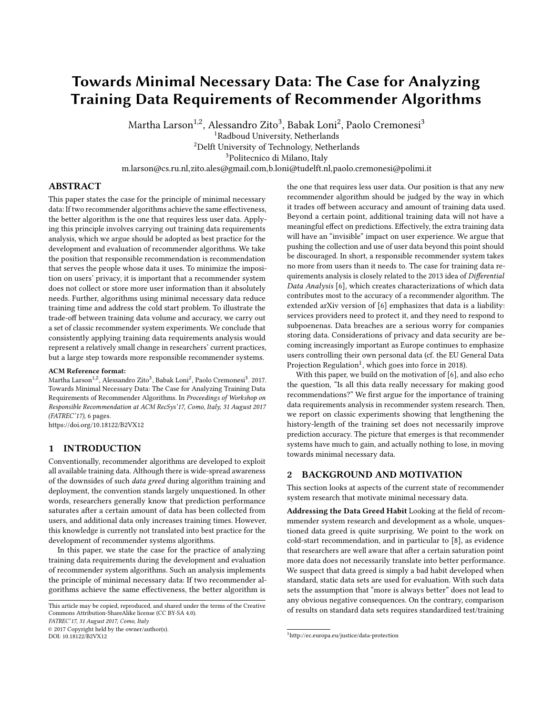# Towards Minimal Necessary Data: The Case for Analyzing Training Data Requirements of Recommender Algorithms

Martha Larson $^{\rm 1,2}$ , Alessandro Zito $^{\rm 3}$ , Babak Loni $^{\rm 2}$ , Paolo Cremonesi $^{\rm 3}$ 

<sup>1</sup>Radboud University, Netherlands

<sup>2</sup>Delft University of Technology, Netherlands

<sup>3</sup>Politecnico di Milano, Italy

m.larson@cs.ru.nl,zito.ales@gmail.com,b.loni@tudelft.nl,paolo.cremonesi@polimi.it

# ABSTRACT

This paper states the case for the principle of minimal necessary data: If two recommender algorithms achieve the same effectiveness, the better algorithm is the one that requires less user data. Applying this principle involves carrying out training data requirements analysis, which we argue should be adopted as best practice for the development and evaluation of recommender algorithms. We take the position that responsible recommendation is recommendation that serves the people whose data it uses. To minimize the imposition on users' privacy, it is important that a recommender system does not collect or store more user information than it absolutely needs. Further, algorithms using minimal necessary data reduce training time and address the cold start problem. To illustrate the trade-off between training data volume and accuracy, we carry out a set of classic recommender system experiments. We conclude that consistently applying training data requirements analysis would represent a relatively small change in researchers' current practices, but a large step towards more responsible recommender systems.

#### ACM Reference format:

Martha Larson<sup>1,2</sup>, Alessandro Zito<sup>3</sup>, Babak Loni<sup>2</sup>, Paolo Cremonesi<sup>3</sup>. 2017. Towards Minimal Necessary Data: The Case for Analyzing Training Data Requirements of Recommender Algorithms. In Proceedings of Workshop on Responsible Recommendation at ACM RecSys'17, Como, Italy, 31 August 2017 (FATREC'17), [6](#page-5-0) pages.

<https://doi.org/10.18122/B2VX12>

# 1 INTRODUCTION

Conventionally, recommender algorithms are developed to exploit all available training data. Although there is wide-spread awareness of the downsides of such data greed during algorithm training and deployment, the convention stands largely unquestioned. In other words, researchers generally know that prediction performance saturates after a certain amount of data has been collected from users, and additional data only increases training times. However, this knowledge is currently not translated into best practice for the development of recommender systems algorithms.

In this paper, we state the case for the practice of analyzing training data requirements during the development and evaluation of recommender system algorithms. Such an analysis implements the principle of minimal necessary data: If two recommender algorithms achieve the same effectiveness, the better algorithm is

This article may be copied, reproduced, and shared under the terms of the Creative Commons Attribution-ShareAlike license (CC BY-SA 4.0).

FATREC'17, 31 August 2017, Como, Italy

© 2017 Copyright held by the owner/author(s).

DOI: 10.18122/B2VX12

the one that requires less user data. Our position is that any new recommender algorithm should be judged by the way in which it trades off between accuracy and amount of training data used. Beyond a certain point, additional training data will not have a meaningful effect on predictions. Effectively, the extra training data will have an "invisible" impact on user experience. We argue that pushing the collection and use of user data beyond this point should be discouraged. In short, a responsible recommender system takes no more from users than it needs to. The case for training data requirements analysis is closely related to the 2013 idea of Differential Data Analysis [\[6\]](#page-5-1), which creates characterizations of which data contributes most to the accuracy of a recommender algorithm. The extended arXiv version of [\[6\]](#page-5-1) emphasizes that data is a liability: services providers need to protect it, and they need to respond to subpoenenas. Data breaches are a serious worry for companies storing data. Considerations of privacy and data security are becoming increasingly important as Europe continues to emphasize users controlling their own personal data (cf. the EU General Data Projection Regulation<sup>[1](#page-0-0)</sup>, which goes into force in 2018).

With this paper, we build on the motivation of [\[6\]](#page-5-1), and also echo the question, "Is all this data really necessary for making good recommendations?" We first argue for the importance of training data requirements analysis in recommender system research. Then, we report on classic experiments showing that lengthening the history-length of the training set does not necessarily improve prediction accuracy. The picture that emerges is that recommender systems have much to gain, and actually nothing to lose, in moving towards minimal necessary data.

### 2 BACKGROUND AND MOTIVATION

This section looks at aspects of the current state of recommender system research that motivate minimal necessary data.

Addressing the Data Greed Habit Looking at the field of recommmender system research and development as a whole, unquestioned data greed is quite surprising. We point to the work on cold-start recommendation, and in particular to [\[8\]](#page-5-2), as evidence that researchers are well aware that after a certain saturation point more data does not necessarily translate into better performance. We suspect that data greed is simply a bad habit developed when standard, static data sets are used for evaluation. With such data sets the assumption that "more is always better" does not lead to any obvious negative consequences. On the contrary, comparison of results on standard data sets requires standardized test/training

<span id="page-0-0"></span> $^{\rm 1}$ http://ec.europa.eu/justice/data-protection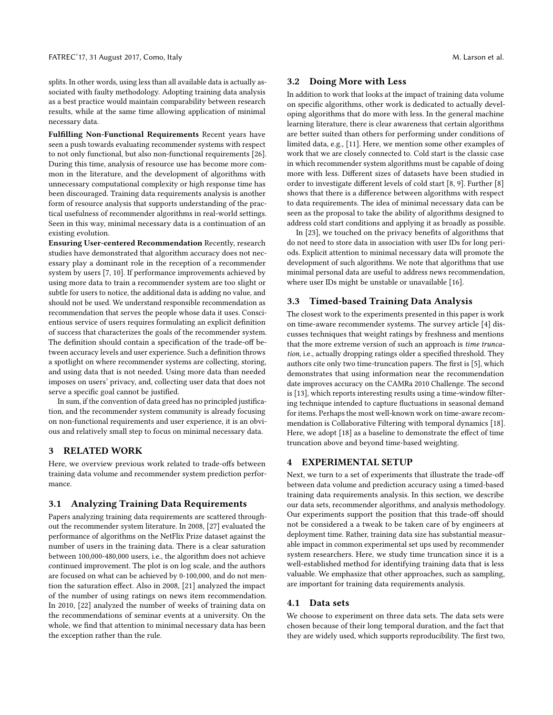splits. In other words, using less than all available data is actually associated with faulty methodology. Adopting training data analysis as a best practice would maintain comparability between research results, while at the same time allowing application of minimal necessary data.

Fulfilling Non-Functional Requirements Recent years have seen a push towards evaluating recommender systems with respect to not only functional, but also non-functional requirements [\[26\]](#page-5-3). During this time, analysis of resource use has become more common in the literature, and the development of algorithms with unnecessary computational complexity or high response time has been discouraged. Training data requirements analysis is another form of resource analysis that supports understanding of the practical usefulness of recommender algorithms in real-world settings. Seen in this way, minimal necessary data is a continuation of an existing evolution.

Ensuring User-centered Recommendation Recently, research studies have demonstrated that algorithm accuracy does not necessary play a dominant role in the reception of a recommender system by users [\[7,](#page-5-4) [10\]](#page-5-5). If performance improvements achieved by using more data to train a recommender system are too slight or subtle for users to notice, the additional data is adding no value, and should not be used. We understand responsible recommendation as recommendation that serves the people whose data it uses. Conscientious service of users requires formulating an explicit definition of success that characterizes the goals of the recommender system. The definition should contain a specification of the trade-off between accuracy levels and user experience. Such a definition throws a spotlight on where recommender systems are collecting, storing, and using data that is not needed. Using more data than needed imposes on users' privacy, and, collecting user data that does not serve a specific goal cannot be justified.

In sum, if the convention of data greed has no principled justification, and the recommender system community is already focusing on non-functional requirements and user experience, it is an obvious and relatively small step to focus on minimal necessary data.

## 3 RELATED WORK

Here, we overview previous work related to trade-offs between training data volume and recommender system prediction performance.

## 3.1 Analyzing Training Data Requirements

Papers analyzing training data requirements are scattered throughout the recommender system literature. In 2008, [\[27\]](#page-5-6) evaluated the performance of algorithms on the NetFlix Prize dataset against the number of users in the training data. There is a clear saturation between 100,000-480,000 users, i.e., the algorithm does not achieve continued improvement. The plot is on log scale, and the authors are focused on what can be achieved by 0-100,000, and do not mention the saturation effect. Also in 2008, [\[21\]](#page-5-7) analyzed the impact of the number of using ratings on news item recommendation. In 2010, [\[22\]](#page-5-8) analyzed the number of weeks of training data on the recommendations of seminar events at a university. On the whole, we find that attention to minimal necessary data has been the exception rather than the rule.

#### 3.2 Doing More with Less

In addition to work that looks at the impact of training data volume on specific algorithms, other work is dedicated to actually developing algorithms that do more with less. In the general machine learning literature, there is clear awareness that certain algorithms are better suited than others for performing under conditions of limited data, e.g., [\[11\]](#page-5-9). Here, we mention some other examples of work that we are closely connected to. Cold start is the classic case in which recommender system algorithms must be capable of doing more with less. Different sizes of datasets have been studied in order to investigate different levels of cold start [\[8,](#page-5-2) [9\]](#page-5-10). Further [\[8\]](#page-5-2) shows that there is a difference between algorithms with respect to data requirements. The idea of minimal necessary data can be seen as the proposal to take the ability of algorithms designed to address cold start conditions and applying it as broadly as possible.

In [\[23\]](#page-5-11), we touched on the privacy benefits of algorithms that do not need to store data in association with user IDs for long periods. Explicit attention to minimal necessary data will promote the development of such algorithms. We note that algorithms that use minimal personal data are useful to address news recommendation, where user IDs might be unstable or unavailable [\[16\]](#page-5-12).

## 3.3 Timed-based Training Data Analysis

The closest work to the experiments presented in this paper is work on time-aware recommender systems. The survey article [\[4\]](#page-5-13) discusses techniques that weight ratings by freshness and mentions that the more extreme version of such an approach is time truncation, i.e., actually dropping ratings older a specified threshold. They authors cite only two time-truncation papers. The first is [\[5\]](#page-5-14), which demonstrates that using information near the recommendation date improves accuracy on the CAMRa 2010 Challenge. The second is [\[13\]](#page-5-15), which reports interesting results using a time-window filtering technique intended to capture fluctuations in seasonal demand for items. Perhaps the most well-known work on time-aware recommendation is Collaborative Filtering with temporal dynamics [\[18\]](#page-5-16). Here, we adopt [\[18\]](#page-5-16) as a baseline to demonstrate the effect of time truncation above and beyond time-based weighting.

### 4 EXPERIMENTAL SETUP

Next, we turn to a set of experiments that illustrate the trade-off between data volume and prediction accuracy using a timed-based training data requirements analysis. In this section, we describe our data sets, recommender algorithms, and analysis methodology. Our experiments support the position that this trade-off should not be considered a a tweak to be taken care of by engineers at deployment time. Rather, training data size has substantial measurable impact in common experimental set ups used by recommender system researchers. Here, we study time truncation since it is a well-established method for identifying training data that is less valuable. We emphasize that other approaches, such as sampling, are important for training data requirements analysis.

## 4.1 Data sets

We choose to experiment on three data sets. The data sets were chosen because of their long temporal duration, and the fact that they are widely used, which supports reproducibility. The first two,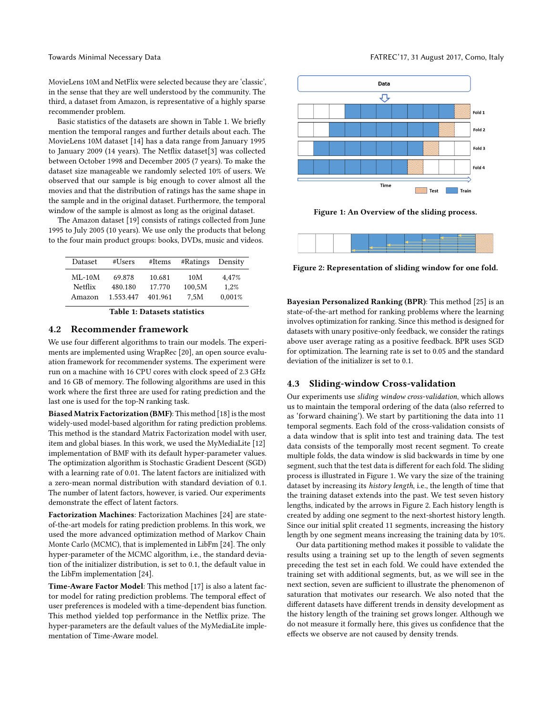MovieLens 10M and NetFlix were selected because they are 'classic', in the sense that they are well understood by the community. The third, a dataset from Amazon, is representative of a highly sparse recommender problem.

Basic statistics of the datasets are shown in Table 1. We briefly mention the temporal ranges and further details about each. The MovieLens 10M dataset [\[14\]](#page-5-17) has a data range from January 1995 to January 2009 (14 years). The Netflix dataset[\[3\]](#page-5-18) was collected between October 1998 and December 2005 (7 years). To make the dataset size manageable we randomly selected 10% of users. We observed that our sample is big enough to cover almost all the movies and that the distribution of ratings has the same shape in the sample and in the original dataset. Furthermore, the temporal window of the sample is almost as long as the original dataset.

The Amazon dataset [\[19\]](#page-5-19) consists of ratings collected from June 1995 to July 2005 (10 years). We use only the products that belong to the four main product groups: books, DVDs, music and videos.

| Dataset  | #Users    | #Items  | #Ratings | Density |
|----------|-----------|---------|----------|---------|
| $ML-10M$ | 69.878    | 10.681  | 10M      | 4.47%   |
| Netflix  | 480.180   | 17.770  | 100.5M   | 1.2%    |
| Amazon   | 1.553.447 | 401.961 | 7.5M     | 0.001%  |

Table 1: Datasets statistics

## 4.2 Recommender framework

We use four different algorithms to train our models. The experiments are implemented using WrapRec [\[20\]](#page-5-20), an open source evaluation framework for recommender systems. The experiment were run on a machine with 16 CPU cores with clock speed of 2.3 GHz and 16 GB of memory. The following algorithms are used in this work where the first three are used for rating prediction and the last one is used for the top-N ranking task.

Biased Matrix Factorization (BMF): This method [\[18\]](#page-5-16) is the most widely-used model-based algorithm for rating prediction problems. This method is the standard Matrix Factorization model with user, item and global biases. In this work, we used the MyMediaLite [\[12\]](#page-5-21) implementation of BMF with its default hyper-parameter values. The optimization algorithm is Stochastic Gradient Descent (SGD) with a learning rate of 0.01. The latent factors are initialized with a zero-mean normal distribution with standard deviation of 0.1. The number of latent factors, however, is varied. Our experiments demonstrate the effect of latent factors.

Factorization Machines: Factorization Machines [\[24\]](#page-5-22) are stateof-the-art models for rating prediction problems. In this work, we used the more advanced optimization method of Markov Chain Monte Carlo (MCMC), that is implemented in LibFm [\[24\]](#page-5-22). The only hyper-parameter of the MCMC algorithm, i.e., the standard deviation of the initializer distribution, is set to 0.1, the default value in the LibFm implementation [\[24\]](#page-5-22).

Time-Aware Factor Model: This method [\[17\]](#page-5-23) is also a latent factor model for rating prediction problems. The temporal effect of user preferences is modeled with a time-dependent bias function. This method yielded top performance in the Netflix prize. The hyper-parameters are the default values of the MyMediaLite implementation of Time-Aware model.

<span id="page-2-0"></span>

Figure 1: An Overview of the sliding process.

<span id="page-2-1"></span>

Figure 2: Representation of sliding window for one fold.

Bayesian Personalized Ranking (BPR): This method [\[25\]](#page-5-24) is an state-of-the-art method for ranking problems where the learning involves optimization for ranking. Since this method is designed for datasets with unary positive-only feedback, we consider the ratings above user average rating as a positive feedback. BPR uses SGD for optimization. The learning rate is set to 0.05 and the standard deviation of the initializer is set to 0.1.

#### 4.3 Sliding-window Cross-validation

Our experiments use sliding window cross-validation, which allows us to maintain the temporal ordering of the data (also referred to as 'forward chaining'). We start by partitioning the data into 11 temporal segments. Each fold of the cross-validation consists of a data window that is split into test and training data. The test data consists of the temporally most recent segment. To create multiple folds, the data window is slid backwards in time by one segment, such that the test data is different for each fold. The sliding process is illustrated in Figure [1.](#page-2-0) We vary the size of the training dataset by increasing its history length, i.e., the length of time that the training dataset extends into the past. We test seven history lengths, indicated by the arrows in Figure [2.](#page-2-1) Each history length is created by adding one segment to the next-shortest history length. Since our initial split created 11 segments, increasing the history length by one segment means increasing the training data by 10%.

Our data partitioning method makes it possible to validate the results using a training set up to the length of seven segments preceding the test set in each fold. We could have extended the training set with additional segments, but, as we will see in the next section, seven are sufficient to illustrate the phenomenon of saturation that motivates our research. We also noted that the different datasets have different trends in density development as the history length of the training set grows longer. Although we do not measure it formally here, this gives us confidence that the effects we observe are not caused by density trends.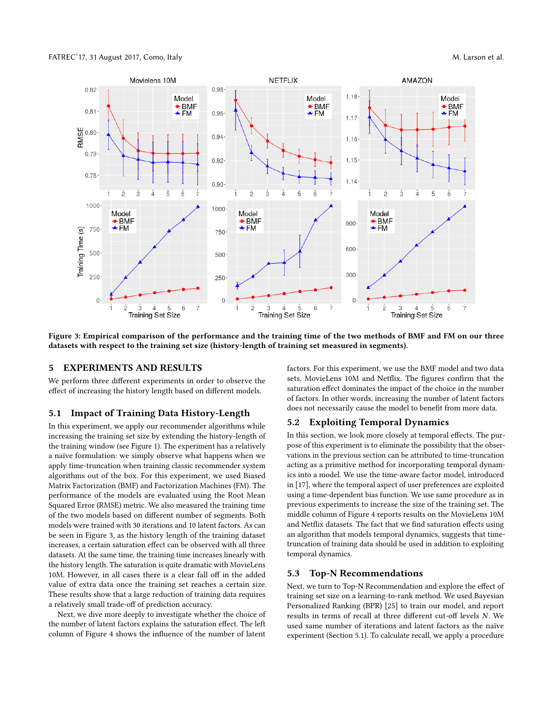<span id="page-3-0"></span>

Figure 3: Empirical comparison of the performance and the training time of the two methods of BMF and FM on our three datasets with respect to the training set size (history-length of training set measured in segments).

## 5 EXPERIMENTS AND RESULTS

We perform three different experiments in order to observe the effect of increasing the history length based on different models.

#### <span id="page-3-1"></span>5.1 Impact of Training Data History-Length

In this experiment, we apply our recommender algorithms while increasing the training set size by extending the history-length of the training window (see Figure [1\)](#page-2-0). The experiment has a relatively a naïve formulation: we simply observe what happens when we apply time-truncation when training classic recommender system algorithms out of the box. For this experiment, we used Biased Matrix Factorization (BMF) and Factorization Machines (FM). The performance of the models are evaluated using the Root Mean Squared Error (RMSE) metric. We also measured the training time of the two models based on different number of segments. Both models were trained with 30 iterations and 10 latent factors. As can be seen in Figure [3,](#page-3-0) as the history length of the training dataset increases, a certain saturation effect can be observed with all three datasets. At the same time, the training time increases linearly with the history length. The saturation is quite dramatic with MovieLens 10M. However, in all cases there is a clear fall off in the added value of extra data once the training set reaches a certain size. These results show that a large reduction of training data requires a relatively small trade-off of prediction accuracy.

Next, we dive more deeply to investigate whether the choice of the number of latent factors explains the saturation effect. The left column of Figure [4](#page-4-0) shows the influence of the number of latent

factors. For this experiment, we use the BMF model and two data sets, MovieLens 10M and Netflix. The figures confirm that the saturation effect dominates the impact of the choice in the number of factors. In other words, increasing the number of latent factors does not necessarily cause the model to benefit from more data.

## <span id="page-3-2"></span>5.2 Exploiting Temporal Dynamics

In this section, we look more closely at temporal effects. The purpose of this experiment is to eliminate the possibility that the observations in the previous section can be attributed to time-truncation acting as a primitive method for incorporating temporal dynamics into a model. We use the time-aware factor model, introduced in [\[17\]](#page-5-23), where the temporal aspect of user preferences are exploited using a time-dependent bias function. We use same procedure as in previous experiments to increase the size of the training set. The middle column of Figure [4](#page-4-0) reports results on the MovieLens 10M and Netflix datasets. The fact that we find saturation effects using an algorithm that models temporal dynamics, suggests that timetruncation of training data should be used in addition to exploiting temporal dynamics.

### 5.3 Top-N Recommendations

Next, we turn to Top-N Recommendation and explore the effect of training set size on a learning-to-rank method. We used Bayesian Personalized Ranking (BPR) [\[25\]](#page-5-24) to train our model, and report results in terms of recall at three different cut-off levels N. We used same number of iterations and latent factors as the naïve experiment (Section [5.1\)](#page-3-1). To calculate recall, we apply a procedure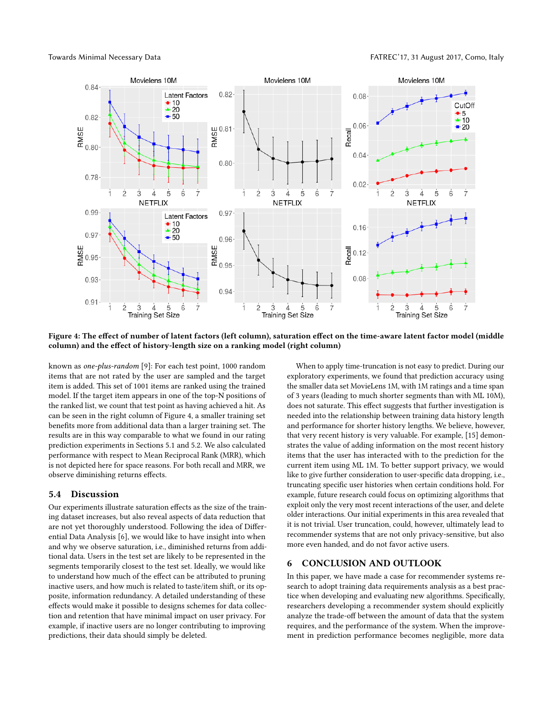<span id="page-4-0"></span>

Figure 4: The effect of number of latent factors (left column), saturation effect on the time-aware latent factor model (middle column) and the effect of history-length size on a ranking model (right column)

known as one-plus-random [\[9\]](#page-5-10): For each test point, 1000 random items that are not rated by the user are sampled and the target item is added. This set of 1001 items are ranked using the trained model. If the target item appears in one of the top-N positions of the ranked list, we count that test point as having achieved a hit. As can be seen in the right column of Figure [4,](#page-4-0) a smaller training set benefits more from additional data than a larger training set. The results are in this way comparable to what we found in our rating prediction experiments in Sections [5.1](#page-3-1) and [5.2.](#page-3-2) We also calculated performance with respect to Mean Reciprocal Rank (MRR), which is not depicted here for space reasons. For both recall and MRR, we observe diminishing returns effects.

#### 5.4 Discussion

Our experiments illustrate saturation effects as the size of the training dataset increases, but also reveal aspects of data reduction that are not yet thoroughly understood. Following the idea of Differential Data Analysis [\[6\]](#page-5-1), we would like to have insight into when and why we observe saturation, i.e., diminished returns from additional data. Users in the test set are likely to be represented in the segments temporarily closest to the test set. Ideally, we would like to understand how much of the effect can be attributed to pruning inactive users, and how much is related to taste/item shift, or its opposite, information redundancy. A detailed understanding of these effects would make it possible to designs schemes for data collection and retention that have minimal impact on user privacy. For example, if inactive users are no longer contributing to improving predictions, their data should simply be deleted.

When to apply time-truncation is not easy to predict. During our exploratory experiments, we found that prediction accuracy using the smaller data set MovieLens 1M, with 1M ratings and a time span of 3 years (leading to much shorter segments than with ML 10M), does not saturate. This effect suggests that further investigation is needed into the relationship between training data history length and performance for shorter history lengths. We believe, however, that very recent history is very valuable. For example, [\[15\]](#page-5-25) demonstrates the value of adding information on the most recent history items that the user has interacted with to the prediction for the current item using ML 1M. To better support privacy, we would like to give further consideration to user-specific data dropping, i.e., truncating specific user histories when certain conditions hold. For example, future research could focus on optimizing algorithms that exploit only the very most recent interactions of the user, and delete older interactions. Our initial experiments in this area revealed that it is not trivial. User truncation, could, however, ultimately lead to recommender systems that are not only privacy-sensitive, but also more even handed, and do not favor active users.

# 6 CONCLUSION AND OUTLOOK

In this paper, we have made a case for recommender systems research to adopt training data requirements analysis as a best practice when developing and evaluating new algorithms. Specifically, researchers developing a recommender system should explicitly analyze the trade-off between the amount of data that the system requires, and the performance of the system. When the improvement in prediction performance becomes negligible, more data